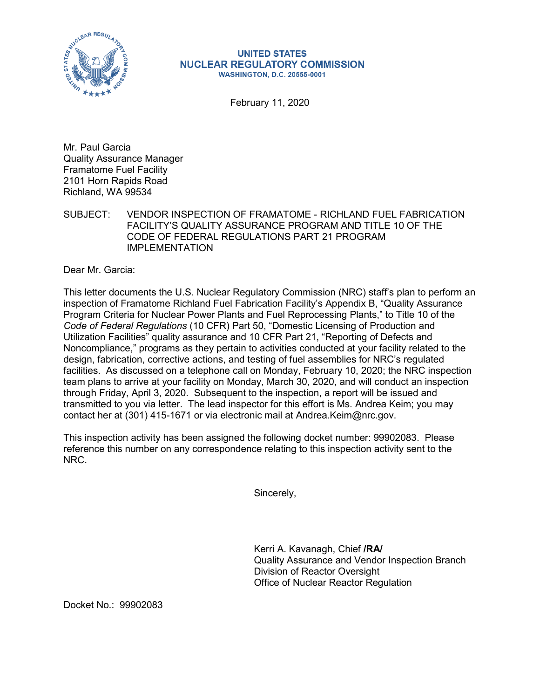

## **UNITED STATES NUCLEAR REGULATORY COMMISSION WASHINGTON, D.C. 20555-0001**

February 11, 2020

Mr. Paul Garcia Quality Assurance Manager Framatome Fuel Facility 2101 Horn Rapids Road Richland, WA 99534

SUBJECT: VENDOR INSPECTION OF FRAMATOME - RICHLAND FUEL FABRICATION FACILITY'S QUALITY ASSURANCE PROGRAM AND TITLE 10 OF THE CODE OF FEDERAL REGULATIONS PART 21 PROGRAM IMPLEMENTATION

Dear Mr. Garcia:

This letter documents the U.S. Nuclear Regulatory Commission (NRC) staff's plan to perform an inspection of Framatome Richland Fuel Fabrication Facility's Appendix B, "Quality Assurance Program Criteria for Nuclear Power Plants and Fuel Reprocessing Plants," to Title 10 of the *Code of Federal Regulations* (10 CFR) Part 50, "Domestic Licensing of Production and Utilization Facilities" quality assurance and 10 CFR Part 21, "Reporting of Defects and Noncompliance," programs as they pertain to activities conducted at your facility related to the design, fabrication, corrective actions, and testing of fuel assemblies for NRC's regulated facilities. As discussed on a telephone call on Monday, February 10, 2020; the NRC inspection team plans to arrive at your facility on Monday, March 30, 2020, and will conduct an inspection through Friday, April 3, 2020. Subsequent to the inspection, a report will be issued and transmitted to you via letter. The lead inspector for this effort is Ms. Andrea Keim; you may contact her at (301) 415-1671 or via electronic mail at Andrea.Keim@nrc.gov.

This inspection activity has been assigned the following docket number: 99902083. Please reference this number on any correspondence relating to this inspection activity sent to the NRC.

Sincerely,

Kerri A. Kavanagh, Chief **/RA/** Quality Assurance and Vendor Inspection Branch Division of Reactor Oversight Office of Nuclear Reactor Regulation

Docket No.: 99902083